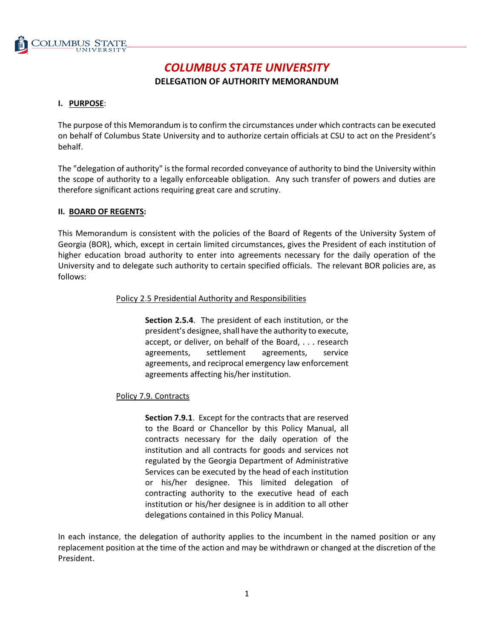

# *COLUMBUS STATE UNIVERSITY*

# **DELEGATION OF AUTHORITY MEMORANDUM**

# **I. PURPOSE**:

The purpose of this Memorandum is to confirm the circumstances under which contracts can be executed on behalf of Columbus State University and to authorize certain officials at CSU to act on the President's behalf.

The "delegation of authority" is the formal recorded conveyance of authority to bind the University within the scope of authority to a legally enforceable obligation. Any such transfer of powers and duties are therefore significant actions requiring great care and scrutiny.

# **II. BOARD OF REGENTS:**

This Memorandum is consistent with the policies of the Board of Regents of the University System of Georgia (BOR), which, except in certain limited circumstances, gives the President of each institution of higher education broad authority to enter into agreements necessary for the daily operation of the University and to delegate such authority to certain specified officials. The relevant BOR policies are, as follows:

# Policy 2.5 Presidential Authority and Responsibilities

**Section 2.5.4**. The president of each institution, or the president's designee, shall have the authority to execute, accept, or deliver, on behalf of the Board, . . . research agreements, settlement agreements, service agreements, and reciprocal emergency law enforcement agreements affecting his/her institution.

# Policy 7.9. Contracts

**Section 7.9.1**. Except for the contracts that are reserved to the Board or Chancellor by this Policy Manual, all contracts necessary for the daily operation of the institution and all contracts for goods and services not regulated by the Georgia Department of Administrative Services can be executed by the head of each institution or his/her designee. This limited delegation of contracting authority to the executive head of each institution or his/her designee is in addition to all other delegations contained in this Policy Manual.

In each instance, the delegation of authority applies to the incumbent in the named position or any replacement position at the time of the action and may be withdrawn or changed at the discretion of the President.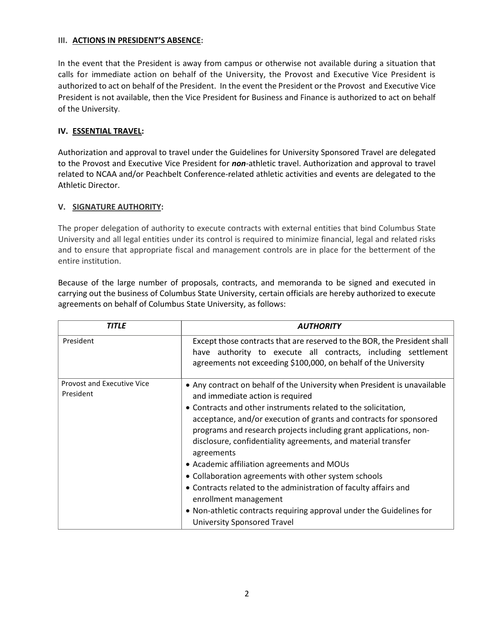#### **III. ACTIONS IN PRESIDENT'S ABSENCE:**

In the event that the President is away from campus or otherwise not available during a situation that calls for immediate action on behalf of the University, the Provost and Executive Vice President is authorized to act on behalf of the President. In the event the President or the Provost and Executive Vice President is not available, then the Vice President for Business and Finance is authorized to act on behalf of the University.

# **IV. ESSENTIAL TRAVEL:**

Authorization and approval to travel under the Guidelines for University Sponsored Travel are delegated to the Provost and Executive Vice President for *non*-athletic travel. Authorization and approval to travel related to NCAA and/or Peachbelt Conference-related athletic activities and events are delegated to the Athletic Director.

# **V. SIGNATURE AUTHORITY:**

The proper delegation of authority to execute contracts with external entities that bind Columbus State University and all legal entities under its control is required to minimize financial, legal and related risks and to ensure that appropriate fiscal and management controls are in place for the betterment of the entire institution.

Because of the large number of proposals, contracts, and memoranda to be signed and executed in carrying out the business of Columbus State University, certain officials are hereby authorized to execute agreements on behalf of Columbus State University, as follows:

| <b>TITLE</b>                            | <b>AUTHORITY</b>                                                                                                                                                                                                                                                                                                                                                                                                                                                                                                                                                                                                                                                                                                   |
|-----------------------------------------|--------------------------------------------------------------------------------------------------------------------------------------------------------------------------------------------------------------------------------------------------------------------------------------------------------------------------------------------------------------------------------------------------------------------------------------------------------------------------------------------------------------------------------------------------------------------------------------------------------------------------------------------------------------------------------------------------------------------|
| President                               | Except those contracts that are reserved to the BOR, the President shall<br>have authority to execute all contracts, including settlement<br>agreements not exceeding \$100,000, on behalf of the University                                                                                                                                                                                                                                                                                                                                                                                                                                                                                                       |
| Provost and Executive Vice<br>President | • Any contract on behalf of the University when President is unavailable<br>and immediate action is required<br>• Contracts and other instruments related to the solicitation,<br>acceptance, and/or execution of grants and contracts for sponsored<br>programs and research projects including grant applications, non-<br>disclosure, confidentiality agreements, and material transfer<br>agreements<br>• Academic affiliation agreements and MOUs<br>• Collaboration agreements with other system schools<br>• Contracts related to the administration of faculty affairs and<br>enrollment management<br>• Non-athletic contracts requiring approval under the Guidelines for<br>University Sponsored Travel |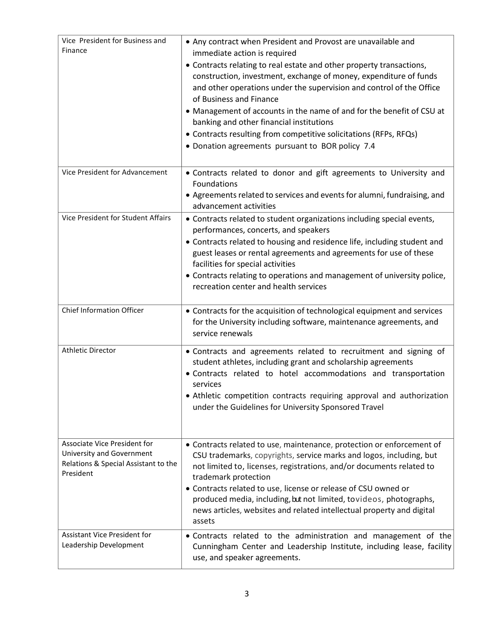| Vice President for Business and<br>Finance                                                                            | • Any contract when President and Provost are unavailable and<br>immediate action is required<br>• Contracts relating to real estate and other property transactions,<br>construction, investment, exchange of money, expenditure of funds<br>and other operations under the supervision and control of the Office<br>of Business and Finance<br>• Management of accounts in the name of and for the benefit of CSU at<br>banking and other financial institutions<br>• Contracts resulting from competitive solicitations (RFPs, RFQs)<br>• Donation agreements pursuant to BOR policy 7.4 |
|-----------------------------------------------------------------------------------------------------------------------|---------------------------------------------------------------------------------------------------------------------------------------------------------------------------------------------------------------------------------------------------------------------------------------------------------------------------------------------------------------------------------------------------------------------------------------------------------------------------------------------------------------------------------------------------------------------------------------------|
| Vice President for Advancement                                                                                        | • Contracts related to donor and gift agreements to University and<br>Foundations<br>• Agreements related to services and events for alumni, fundraising, and<br>advancement activities                                                                                                                                                                                                                                                                                                                                                                                                     |
| Vice President for Student Affairs                                                                                    | • Contracts related to student organizations including special events,<br>performances, concerts, and speakers<br>• Contracts related to housing and residence life, including student and<br>guest leases or rental agreements and agreements for use of these<br>facilities for special activities<br>• Contracts relating to operations and management of university police,<br>recreation center and health services                                                                                                                                                                    |
| <b>Chief Information Officer</b>                                                                                      | • Contracts for the acquisition of technological equipment and services<br>for the University including software, maintenance agreements, and<br>service renewals                                                                                                                                                                                                                                                                                                                                                                                                                           |
| <b>Athletic Director</b>                                                                                              | . Contracts and agreements related to recruitment and signing of<br>student athletes, including grant and scholarship agreements<br>· Contracts related to hotel accommodations and transportation<br>services<br>• Athletic competition contracts requiring approval and authorization<br>under the Guidelines for University Sponsored Travel                                                                                                                                                                                                                                             |
| <b>Associate Vice President for</b><br>University and Government<br>Relations & Special Assistant to the<br>President | • Contracts related to use, maintenance, protection or enforcement of<br>CSU trademarks, copyrights, service marks and logos, including, but<br>not limited to, licenses, registrations, and/or documents related to<br>trademark protection<br>• Contracts related to use, license or release of CSU owned or<br>produced media, including, but not limited, tovideos, photographs,<br>news articles, websites and related intellectual property and digital<br>assets                                                                                                                     |
| <b>Assistant Vice President for</b><br>Leadership Development                                                         | . Contracts related to the administration and management of the<br>Cunningham Center and Leadership Institute, including lease, facility<br>use, and speaker agreements.                                                                                                                                                                                                                                                                                                                                                                                                                    |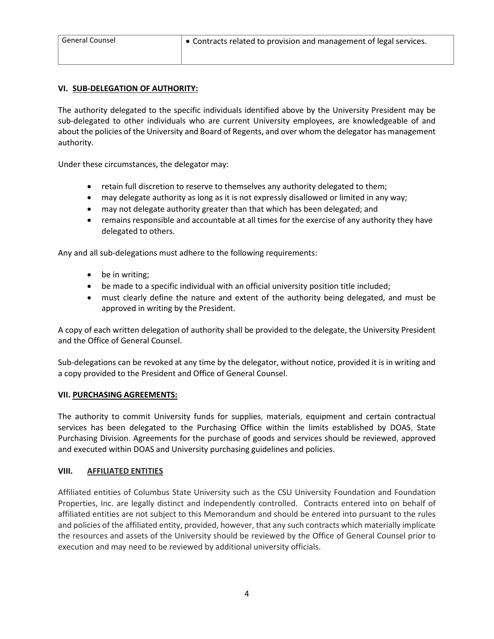# **VI. SUB-DELEGATION OF AUTHORITY:**

The authority delegated to the specific individuals identified above by the University President may be sub-delegated to other individuals who are current University employees, are knowledgeable of and about the policies of the University and Board of Regents, and over whom the delegator has management authority.

Under these circumstances, the delegator may:

- retain full discretion to reserve to themselves any authority delegated to them;
- may delegate authority as long as it is not expressly disallowed or limited in any way;
- may not delegate authority greater than that which has been delegated; and
- remains responsible and accountable at all times for the exercise of any authority they have delegated to others.

Any and all sub-delegations must adhere to the following requirements:

- be in writing;
- be made to a specific individual with an official university position title included;
- must clearly define the nature and extent of the authority being delegated, and must be approved in writing by the President.

A copy of each written delegation of authority shall be provided to the delegate, the University President and the Office of General Counsel.

Sub-delegations can be revoked at any time by the delegator, without notice, provided it is in writing and a copy provided to the President and Office of General Counsel.

#### **VII. PURCHASING AGREEMENTS:**

The authority to commit University funds for supplies, materials, equipment and certain contractual services has been delegated to the Purchasing Office within the limits established by DOAS, State Purchasing Division. Agreements for the purchase of goods and services should be reviewed, approved and executed within DOAS and University purchasing guidelines and policies.

# **VIII. AFFILIATED ENTITIES**

Affiliated entities of Columbus State University such as the CSU University Foundation and Foundation Properties, Inc. are legally distinct and independently controlled. Contracts entered into on behalf of affiliated entities are not subject to this Memorandum and should be entered into pursuant to the rules and policies of the affiliated entity, provided, however, that any such contracts which materially implicate the resources and assets of the University should be reviewed by the Office of General Counsel prior to execution and may need to be reviewed by additional university officials.